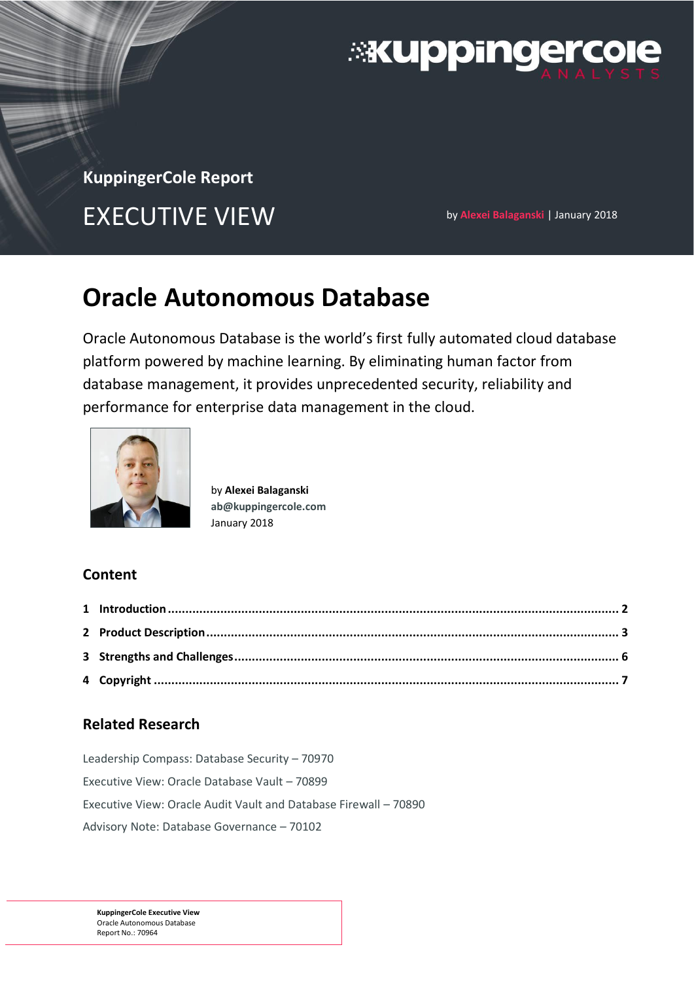

# **KuppingerCole Report**

EXECUTIVE VIEW **by Alexei Balaganski | January 2018** 

# **Oracle Autonomous Database**

Oracle Autonomous Database is the world's first fully automated cloud database platform powered by machine learning. By eliminating human factor from database management, it provides unprecedented security, reliability and performance for enterprise data management in the cloud.



by **Alexei Balaganski [ab@kuppingercole.com](mailto:ab@kuppingercole.com)** January 2018

## **Content**

## **Related Research**

[Leadership Compass: Database Security](https://www.kuppingercole.com/report/lc70970) – 70970 [Executive View: Oracle Database Vault](https://www.kuppingercole.com/report/ev70899) – 70899 [Executive View: Oracle Audit Vault and Database Firewall](https://www.kuppingercole.com/report/ev70890) – 70890 [Advisory Note: Database Governance](https://www.kuppingercole.com/report/an70102) – 70102

**KuppingerCole Executive View** Oracle Autonomous Database Report No.: 70964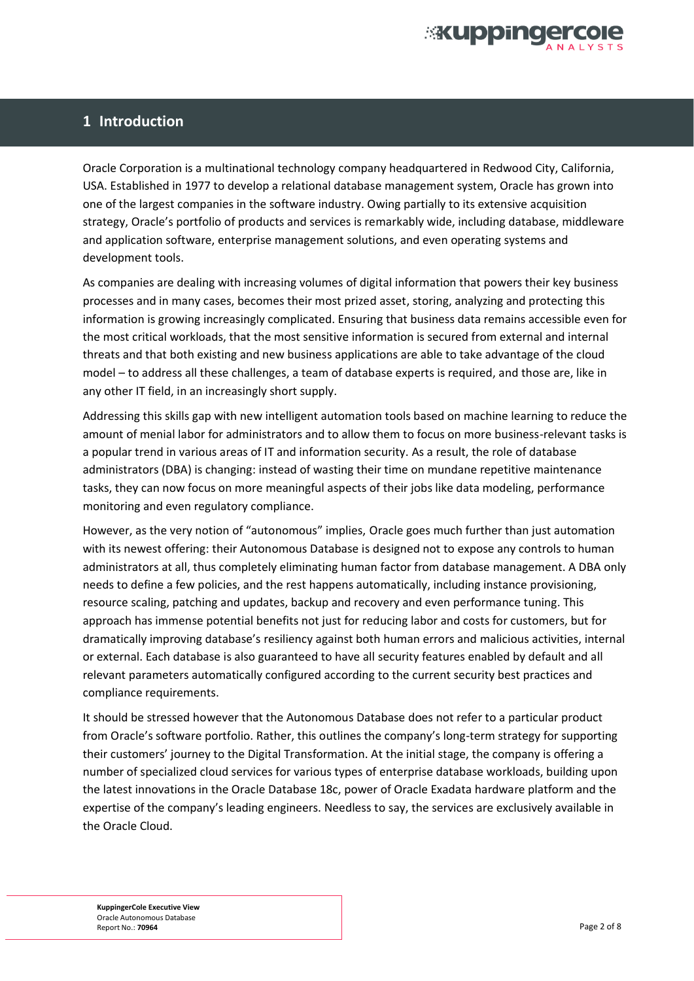

#### **1 Introduction**

Oracle Corporation is a multinational technology company headquartered in Redwood City, California, USA. Established in 1977 to develop a relational database management system, Oracle has grown into one of the largest companies in the software industry. Owing partially to its extensive acquisition strategy, Oracle's portfolio of products and services is remarkably wide, including database, middleware and application software, enterprise management solutions, and even operating systems and development tools.

As companies are dealing with increasing volumes of digital information that powers their key business processes and in many cases, becomes their most prized asset, storing, analyzing and protecting this information is growing increasingly complicated. Ensuring that business data remains accessible even for the most critical workloads, that the most sensitive information is secured from external and internal threats and that both existing and new business applications are able to take advantage of the cloud model – to address all these challenges, a team of database experts is required, and those are, like in any other IT field, in an increasingly short supply.

Addressing this skills gap with new intelligent automation tools based on machine learning to reduce the amount of menial labor for administrators and to allow them to focus on more business-relevant tasks is a popular trend in various areas of IT and information security. As a result, the role of database administrators (DBA) is changing: instead of wasting their time on mundane repetitive maintenance tasks, they can now focus on more meaningful aspects of their jobs like data modeling, performance monitoring and even regulatory compliance.

However, as the very notion of "autonomous" implies, Oracle goes much further than just automation with its newest offering: their Autonomous Database is designed not to expose any controls to human administrators at all, thus completely eliminating human factor from database management. A DBA only needs to define a few policies, and the rest happens automatically, including instance provisioning, resource scaling, patching and updates, backup and recovery and even performance tuning. This approach has immense potential benefits not just for reducing labor and costs for customers, but for dramatically improving database's resiliency against both human errors and malicious activities, internal or external. Each database is also guaranteed to have all security features enabled by default and all relevant parameters automatically configured according to the current security best practices and compliance requirements.

It should be stressed however that the Autonomous Database does not refer to a particular product from Oracle's software portfolio. Rather, this outlines the company's long-term strategy for supporting their customers' journey to the Digital Transformation. At the initial stage, the company is offering a number of specialized cloud services for various types of enterprise database workloads, building upon the latest innovations in the Oracle Database 18c, power of Oracle Exadata hardware platform and the expertise of the company's leading engineers. Needless to say, the services are exclusively available in the Oracle Cloud.

**KuppingerCole Executive View** Oracle Autonomous Database Report No.: **70964** Page 2 of 8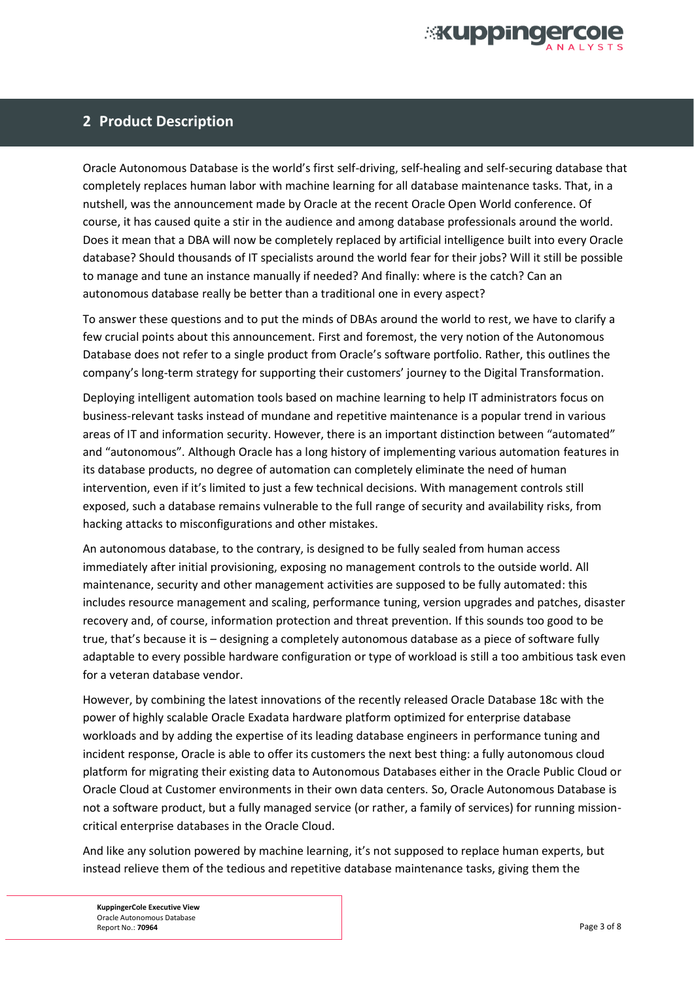

#### **2 Product Description**

Oracle Autonomous Database is the world's first self-driving, self-healing and self-securing database that completely replaces human labor with machine learning for all database maintenance tasks. That, in a nutshell, was the announcement made by Oracle at the recent Oracle Open World conference. Of course, it has caused quite a stir in the audience and among database professionals around the world. Does it mean that a DBA will now be completely replaced by artificial intelligence built into every Oracle database? Should thousands of IT specialists around the world fear for their jobs? Will it still be possible to manage and tune an instance manually if needed? And finally: where is the catch? Can an autonomous database really be better than a traditional one in every aspect?

To answer these questions and to put the minds of DBAs around the world to rest, we have to clarify a few crucial points about this announcement. First and foremost, the very notion of the Autonomous Database does not refer to a single product from Oracle's software portfolio. Rather, this outlines the company's long-term strategy for supporting their customers' journey to the Digital Transformation.

Deploying intelligent automation tools based on machine learning to help IT administrators focus on business-relevant tasks instead of mundane and repetitive maintenance is a popular trend in various areas of IT and information security. However, there is an important distinction between "automated" and "autonomous". Although Oracle has a long history of implementing various automation features in its database products, no degree of automation can completely eliminate the need of human intervention, even if it's limited to just a few technical decisions. With management controls still exposed, such a database remains vulnerable to the full range of security and availability risks, from hacking attacks to misconfigurations and other mistakes.

An autonomous database, to the contrary, is designed to be fully sealed from human access immediately after initial provisioning, exposing no management controls to the outside world. All maintenance, security and other management activities are supposed to be fully automated: this includes resource management and scaling, performance tuning, version upgrades and patches, disaster recovery and, of course, information protection and threat prevention. If this sounds too good to be true, that's because it is – designing a completely autonomous database as a piece of software fully adaptable to every possible hardware configuration or type of workload is still a too ambitious task even for a veteran database vendor.

However, by combining the latest innovations of the recently released Oracle Database 18c with the power of highly scalable Oracle Exadata hardware platform optimized for enterprise database workloads and by adding the expertise of its leading database engineers in performance tuning and incident response, Oracle is able to offer its customers the next best thing: a fully autonomous cloud platform for migrating their existing data to Autonomous Databases either in the Oracle Public Cloud or Oracle Cloud at Customer environments in their own data centers. So, Oracle Autonomous Database is not a software product, but a fully managed service (or rather, a family of services) for running missioncritical enterprise databases in the Oracle Cloud.

And like any solution powered by machine learning, it's not supposed to replace human experts, but instead relieve them of the tedious and repetitive database maintenance tasks, giving them the

**KuppingerCole Executive View** Oracle Autonomous Database Report No.: **70964** Page 3 of 8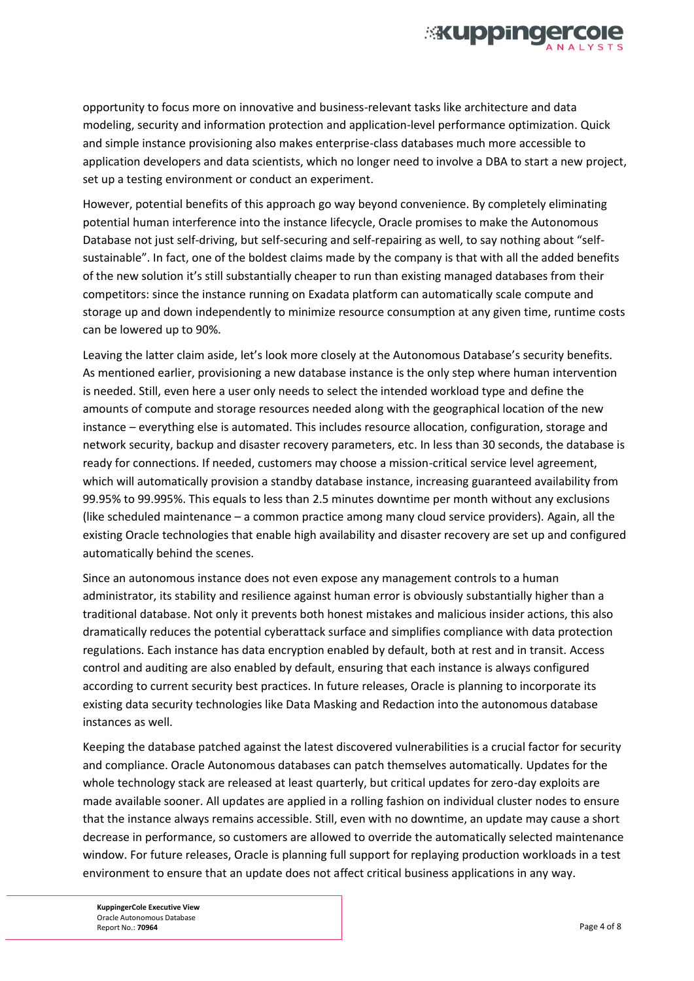

opportunity to focus more on innovative and business-relevant tasks like architecture and data modeling, security and information protection and application-level performance optimization. Quick and simple instance provisioning also makes enterprise-class databases much more accessible to application developers and data scientists, which no longer need to involve a DBA to start a new project, set up a testing environment or conduct an experiment.

However, potential benefits of this approach go way beyond convenience. By completely eliminating potential human interference into the instance lifecycle, Oracle promises to make the Autonomous Database not just self-driving, but self-securing and self-repairing as well, to say nothing about "selfsustainable". In fact, one of the boldest claims made by the company is that with all the added benefits of the new solution it's still substantially cheaper to run than existing managed databases from their competitors: since the instance running on Exadata platform can automatically scale compute and storage up and down independently to minimize resource consumption at any given time, runtime costs can be lowered up to 90%.

Leaving the latter claim aside, let's look more closely at the Autonomous Database's security benefits. As mentioned earlier, provisioning a new database instance is the only step where human intervention is needed. Still, even here a user only needs to select the intended workload type and define the amounts of compute and storage resources needed along with the geographical location of the new instance – everything else is automated. This includes resource allocation, configuration, storage and network security, backup and disaster recovery parameters, etc. In less than 30 seconds, the database is ready for connections. If needed, customers may choose a mission-critical service level agreement, which will automatically provision a standby database instance, increasing guaranteed availability from 99.95% to 99.995%. This equals to less than 2.5 minutes downtime per month without any exclusions (like scheduled maintenance – a common practice among many cloud service providers). Again, all the existing Oracle technologies that enable high availability and disaster recovery are set up and configured automatically behind the scenes.

Since an autonomous instance does not even expose any management controls to a human administrator, its stability and resilience against human error is obviously substantially higher than a traditional database. Not only it prevents both honest mistakes and malicious insider actions, this also dramatically reduces the potential cyberattack surface and simplifies compliance with data protection regulations. Each instance has data encryption enabled by default, both at rest and in transit. Access control and auditing are also enabled by default, ensuring that each instance is always configured according to current security best practices. In future releases, Oracle is planning to incorporate its existing data security technologies like Data Masking and Redaction into the autonomous database instances as well.

Keeping the database patched against the latest discovered vulnerabilities is a crucial factor for security and compliance. Oracle Autonomous databases can patch themselves automatically. Updates for the whole technology stack are released at least quarterly, but critical updates for zero-day exploits are made available sooner. All updates are applied in a rolling fashion on individual cluster nodes to ensure that the instance always remains accessible. Still, even with no downtime, an update may cause a short decrease in performance, so customers are allowed to override the automatically selected maintenance window. For future releases, Oracle is planning full support for replaying production workloads in a test environment to ensure that an update does not affect critical business applications in any way.

**KuppingerCole Executive View** Oracle Autonomous Database Report No.: **70964** Page 4 of 8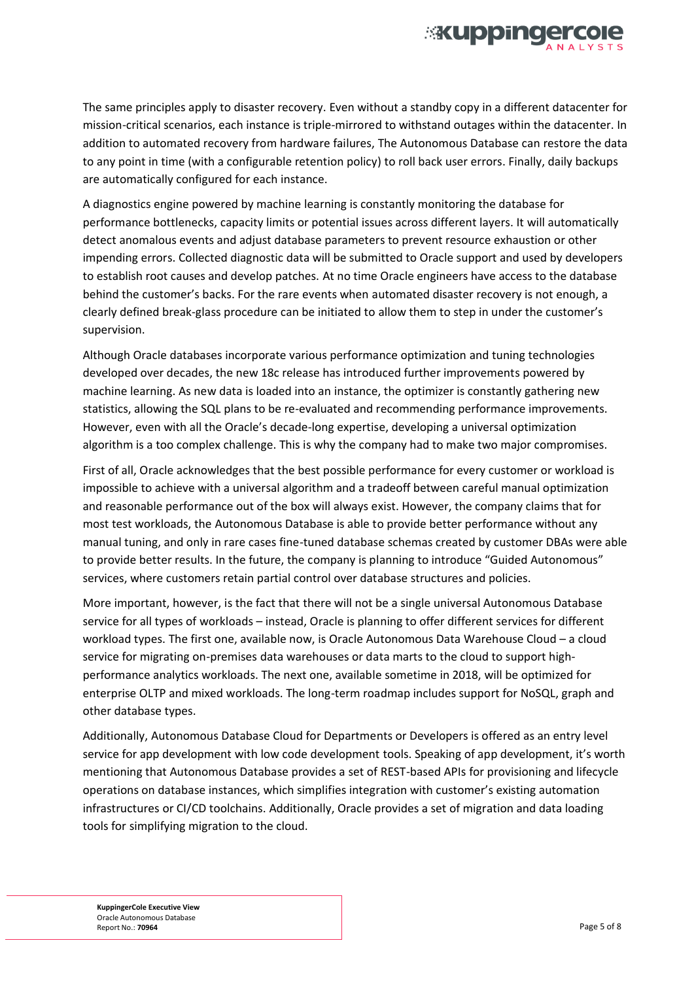

The same principles apply to disaster recovery. Even without a standby copy in a different datacenter for mission-critical scenarios, each instance is triple-mirrored to withstand outages within the datacenter. In addition to automated recovery from hardware failures, The Autonomous Database can restore the data to any point in time (with a configurable retention policy) to roll back user errors. Finally, daily backups are automatically configured for each instance.

A diagnostics engine powered by machine learning is constantly monitoring the database for performance bottlenecks, capacity limits or potential issues across different layers. It will automatically detect anomalous events and adjust database parameters to prevent resource exhaustion or other impending errors. Collected diagnostic data will be submitted to Oracle support and used by developers to establish root causes and develop patches. At no time Oracle engineers have access to the database behind the customer's backs. For the rare events when automated disaster recovery is not enough, a clearly defined break-glass procedure can be initiated to allow them to step in under the customer's supervision.

Although Oracle databases incorporate various performance optimization and tuning technologies developed over decades, the new 18c release has introduced further improvements powered by machine learning. As new data is loaded into an instance, the optimizer is constantly gathering new statistics, allowing the SQL plans to be re-evaluated and recommending performance improvements. However, even with all the Oracle's decade-long expertise, developing a universal optimization algorithm is a too complex challenge. This is why the company had to make two major compromises.

First of all, Oracle acknowledges that the best possible performance for every customer or workload is impossible to achieve with a universal algorithm and a tradeoff between careful manual optimization and reasonable performance out of the box will always exist. However, the company claims that for most test workloads, the Autonomous Database is able to provide better performance without any manual tuning, and only in rare cases fine-tuned database schemas created by customer DBAs were able to provide better results. In the future, the company is planning to introduce "Guided Autonomous" services, where customers retain partial control over database structures and policies.

More important, however, is the fact that there will not be a single universal Autonomous Database service for all types of workloads – instead, Oracle is planning to offer different services for different workload types. The first one, available now, is Oracle Autonomous Data Warehouse Cloud – a cloud service for migrating on-premises data warehouses or data marts to the cloud to support highperformance analytics workloads. The next one, available sometime in 2018, will be optimized for enterprise OLTP and mixed workloads. The long-term roadmap includes support for NoSQL, graph and other database types.

Additionally, Autonomous Database Cloud for Departments or Developers is offered as an entry level service for app development with low code development tools. Speaking of app development, it's worth mentioning that Autonomous Database provides a set of REST-based APIs for provisioning and lifecycle operations on database instances, which simplifies integration with customer's existing automation infrastructures or CI/CD toolchains. Additionally, Oracle provides a set of migration and data loading tools for simplifying migration to the cloud.

**KuppingerCole Executive View** Oracle Autonomous Database Report No.: **70964** Page 5 of 8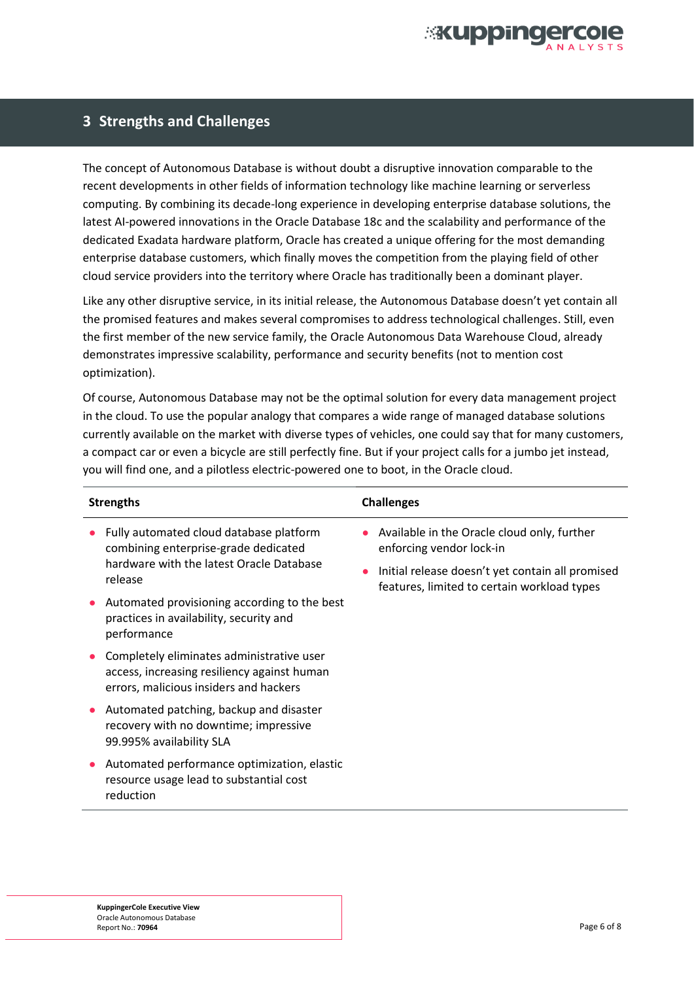

#### **3 Strengths and Challenges**

The concept of Autonomous Database is without doubt a disruptive innovation comparable to the recent developments in other fields of information technology like machine learning or serverless computing. By combining its decade-long experience in developing enterprise database solutions, the latest AI-powered innovations in the Oracle Database 18c and the scalability and performance of the dedicated Exadata hardware platform, Oracle has created a unique offering for the most demanding enterprise database customers, which finally moves the competition from the playing field of other cloud service providers into the territory where Oracle has traditionally been a dominant player.

Like any other disruptive service, in its initial release, the Autonomous Database doesn't yet contain all the promised features and makes several compromises to address technological challenges. Still, even the first member of the new service family, the Oracle Autonomous Data Warehouse Cloud, already demonstrates impressive scalability, performance and security benefits (not to mention cost optimization).

Of course, Autonomous Database may not be the optimal solution for every data management project in the cloud. To use the popular analogy that compares a wide range of managed database solutions currently available on the market with diverse types of vehicles, one could say that for many customers, a compact car or even a bicycle are still perfectly fine. But if your project calls for a jumbo jet instead, you will find one, and a pilotless electric-powered one to boot, in the Oracle cloud.

| <b>Strengths</b> |                                                                                                                                    | <b>Challenges</b> |                                                                                                                             |  |
|------------------|------------------------------------------------------------------------------------------------------------------------------------|-------------------|-----------------------------------------------------------------------------------------------------------------------------|--|
|                  | Fully automated cloud database platform<br>combining enterprise-grade dedicated<br>hardware with the latest Oracle Database        |                   | Available in the Oracle cloud only, further<br>enforcing vendor lock-in<br>Initial release doesn't yet contain all promised |  |
|                  | release<br>Automated provisioning according to the best<br>practices in availability, security and<br>performance                  |                   | features, limited to certain workload types                                                                                 |  |
|                  | Completely eliminates administrative user<br>access, increasing resiliency against human<br>errors, malicious insiders and hackers |                   |                                                                                                                             |  |
|                  | Automated patching, backup and disaster<br>recovery with no downtime; impressive<br>99.995% availability SLA                       |                   |                                                                                                                             |  |
|                  | Automated performance optimization, elastic<br>resource usage lead to substantial cost<br>reduction                                |                   |                                                                                                                             |  |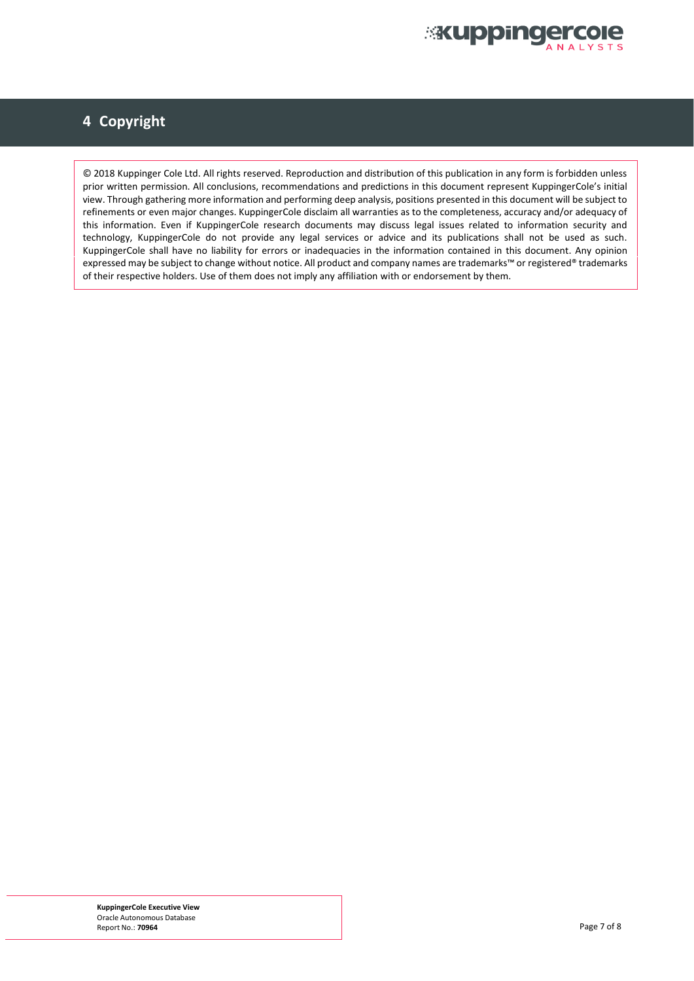

# **4 Copyright**

© 2018 Kuppinger Cole Ltd. All rights reserved. Reproduction and distribution of this publication in any form is forbidden unless prior written permission. All conclusions, recommendations and predictions in this document represent KuppingerCole's initial view. Through gathering more information and performing deep analysis, positions presented in this document will be subject to refinements or even major changes. KuppingerCole disclaim all warranties as to the completeness, accuracy and/or adequacy of this information. Even if KuppingerCole research documents may discuss legal issues related to information security and technology, KuppingerCole do not provide any legal services or advice and its publications shall not be used as such. KuppingerCole shall have no liability for errors or inadequacies in the information contained in this document. Any opinion expressed may be subject to change without notice. All product and company names are trademarks™ or registered® trademarks of their respective holders. Use of them does not imply any affiliation with or endorsement by them.